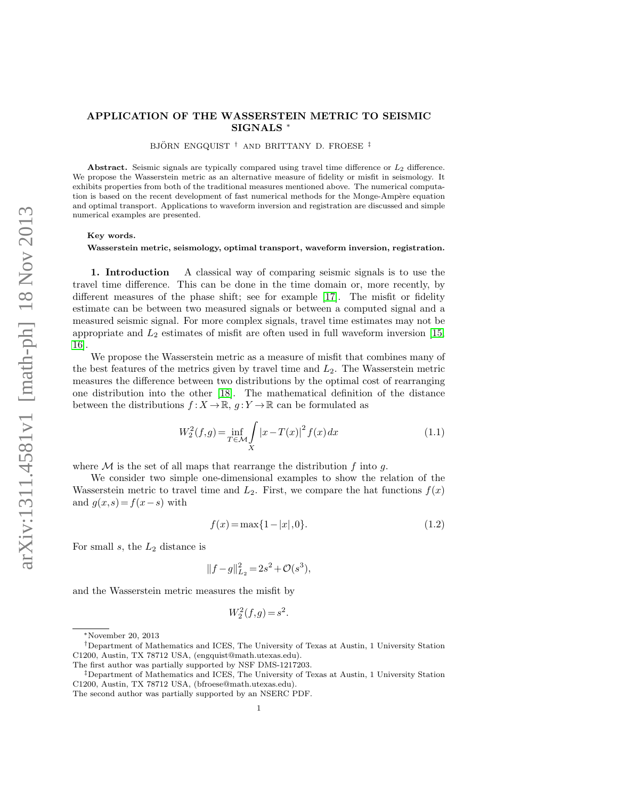# APPLICATION OF THE WASSERSTEIN METRIC TO SEISMIC SIGNALS ∗

BJÖRN ENGQUIST  $\dagger$  and BRITTANY D. FROESE  $\dagger$ 

Abstract. Seismic signals are typically compared using travel time difference or  $L_2$  difference. We propose the Wasserstein metric as an alternative measure of fidelity or misfit in seismology. It exhibits properties from both of the traditional measures mentioned above. The numerical computation is based on the recent development of fast numerical methods for the Monge-Ampère equation and optimal transport. Applications to waveform inversion and registration are discussed and simple numerical examples are presented.

#### Key words.

Wasserstein metric, seismology, optimal transport, waveform inversion, registration.

1. Introduction A classical way of comparing seismic signals is to use the travel time difference. This can be done in the time domain or, more recently, by different measures of the phase shift; see for example [\[17\]](#page-9-0). The misfit or fidelity estimate can be between two measured signals or between a computed signal and a measured seismic signal. For more complex signals, travel time estimates may not be appropriate and  $L_2$  estimates of misfit are often used in full waveform inversion [\[15,](#page-9-1) [16\]](#page-9-2).

We propose the Wasserstein metric as a measure of misfit that combines many of the best features of the metrics given by travel time and  $L_2$ . The Wasserstein metric measures the difference between two distributions by the optimal cost of rearranging one distribution into the other [\[18\]](#page-9-3). The mathematical definition of the distance between the distributions  $f: X \to \mathbb{R}$ ,  $g: Y \to \mathbb{R}$  can be formulated as

$$
W_2^2(f,g) = \inf_{T \in \mathcal{M}} \int\limits_X |x - T(x)|^2 f(x) \, dx \tag{1.1}
$$

where  $\mathcal M$  is the set of all maps that rearrange the distribution f into q.

We consider two simple one-dimensional examples to show the relation of the Wasserstein metric to travel time and  $L_2$ . First, we compare the hat functions  $f(x)$ and  $g(x,s) = f(x-s)$  with

$$
f(x) = \max\{1 - |x|, 0\}.
$$
 (1.2)

For small  $s$ , the  $L_2$  distance is

$$
||f - g||_{L_2}^2 = 2s^2 + \mathcal{O}(s^3),
$$

and the Wasserstein metric measures the misfit by

$$
W_2^2(f,g) = s^2.
$$

<sup>∗</sup>November 20, 2013

<sup>†</sup>Department of Mathematics and ICES, The University of Texas at Austin, 1 University Station C1200, Austin, TX 78712 USA, (engquist@math.utexas.edu).

The first author was partially supported by NSF DMS-1217203.

<sup>‡</sup>Department of Mathematics and ICES, The University of Texas at Austin, 1 University Station C1200, Austin, TX 78712 USA, (bfroese@math.utexas.edu).

The second author was partially supported by an NSERC PDF.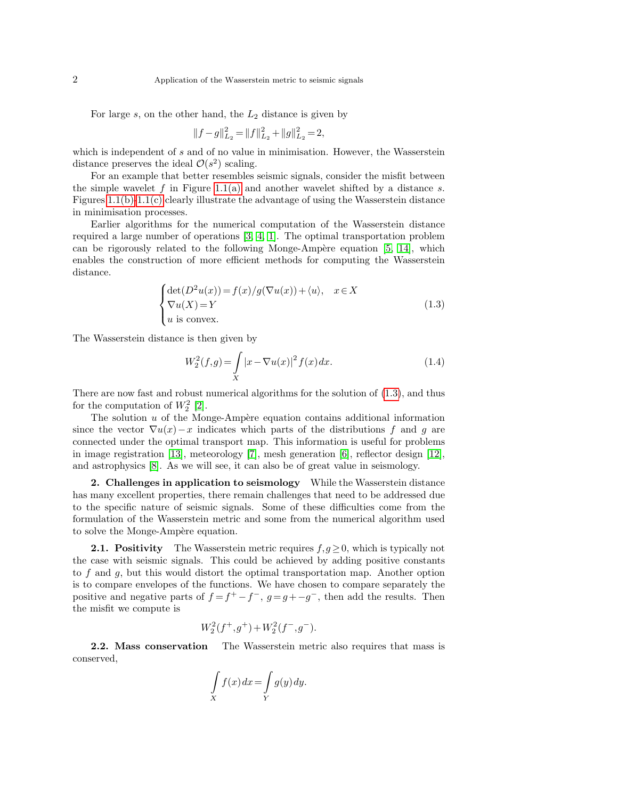For large  $s$ , on the other hand, the  $L_2$  distance is given by

$$
||f - g||_{L_2}^2 = ||f||_{L_2}^2 + ||g||_{L_2}^2 = 2,
$$

which is independent of s and of no value in minimisation. However, the Wasserstein distance preserves the ideal  $\mathcal{O}(s^2)$  scaling.

For an example that better resembles seismic signals, consider the misfit between the simple wavelet f in Figure [1.1\(a\)](#page-2-0) and another wavelet shifted by a distance s. Figures [1.1\(b\)-](#page-2-1)[1.1\(c\)](#page-2-2) clearly illustrate the advantage of using the Wasserstein distance in minimisation processes.

Earlier algorithms for the numerical computation of the Wasserstein distance required a large number of operations [\[3,](#page-9-4) [4,](#page-9-5) [1\]](#page-9-6). The optimal transportation problem can be rigorously related to the following Monge-Ampère equation  $[5, 14]$  $[5, 14]$ , which enables the construction of more efficient methods for computing the Wasserstein distance.

<span id="page-1-0"></span>
$$
\begin{cases} \det(D^2u(x)) = f(x)/g(\nabla u(x)) + \langle u \rangle, & x \in X \\ \nabla u(X) = Y \\ u \text{ is convex.} \end{cases}
$$
 (1.3)

The Wasserstein distance is then given by

$$
W_2^2(f,g) = \int_X |x - \nabla u(x)|^2 f(x) dx.
$$
 (1.4)

There are now fast and robust numerical algorithms for the solution of [\(1.3\)](#page-1-0), and thus for the computation of  $W_2^2$  [\[2\]](#page-9-9).

The solution  $u$  of the Monge-Ampère equation contains additional information since the vector  $\nabla u(x) - x$  indicates which parts of the distributions f and g are connected under the optimal transport map. This information is useful for problems in image registration [\[13\]](#page-9-10), meteorology [\[7\]](#page-9-11), mesh generation [\[6\]](#page-9-12), reflector design [\[12\]](#page-9-13), and astrophysics [\[8\]](#page-9-14). As we will see, it can also be of great value in seismology.

2. Challenges in application to seismology While the Wasserstein distance has many excellent properties, there remain challenges that need to be addressed due to the specific nature of seismic signals. Some of these difficulties come from the formulation of the Wasserstein metric and some from the numerical algorithm used to solve the Monge-Ampère equation.

**2.1. Positivity** The Wasserstein metric requires  $f, g \ge 0$ , which is typically not the case with seismic signals. This could be achieved by adding positive constants to f and g, but this would distort the optimal transportation map. Another option is to compare envelopes of the functions. We have chosen to compare separately the positive and negative parts of  $f = f^+ - f^-$ ,  $g = g^+ - g^-$ , then add the results. Then the misfit we compute is

$$
W_2^2(f^+,g^+) + W_2^2(f^-,g^-).
$$

**2.2. Mass conservation** The Wasserstein metric also requires that mass is conserved,

$$
\int\limits_X f(x) \, dx = \int\limits_Y g(y) \, dy.
$$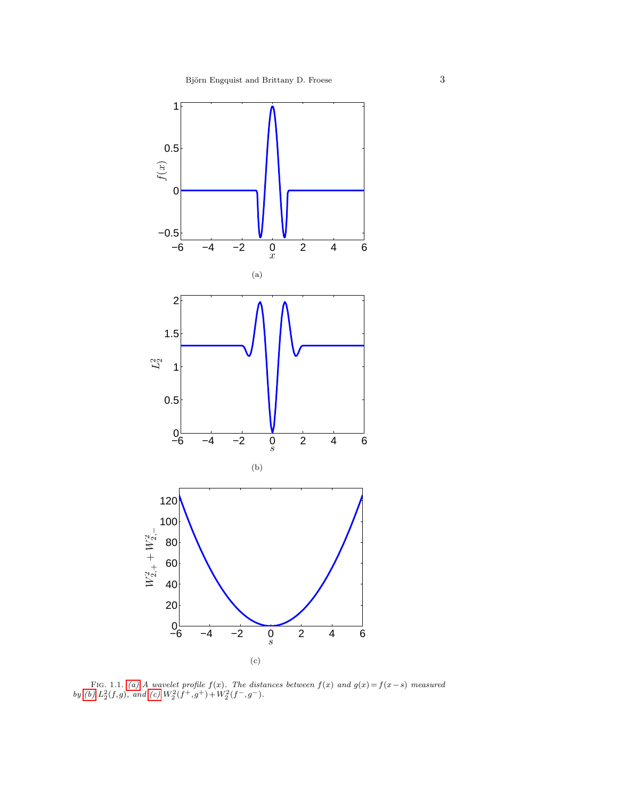<span id="page-2-0"></span>

<span id="page-2-3"></span><span id="page-2-2"></span><span id="page-2-1"></span>FIG. 1.1. [\(a\)](#page-2-0) A wavelet profile  $f(x)$ . The distances between  $f(x)$  and  $g(x) = f(x-s)$  measured by [\(b\)](#page-2-1)  $L_2^2(f,g)$ , and [\(c\)](#page-2-2)  $W_2^2(f^+,g^+) + W_2^2(f^-,g^-)$ .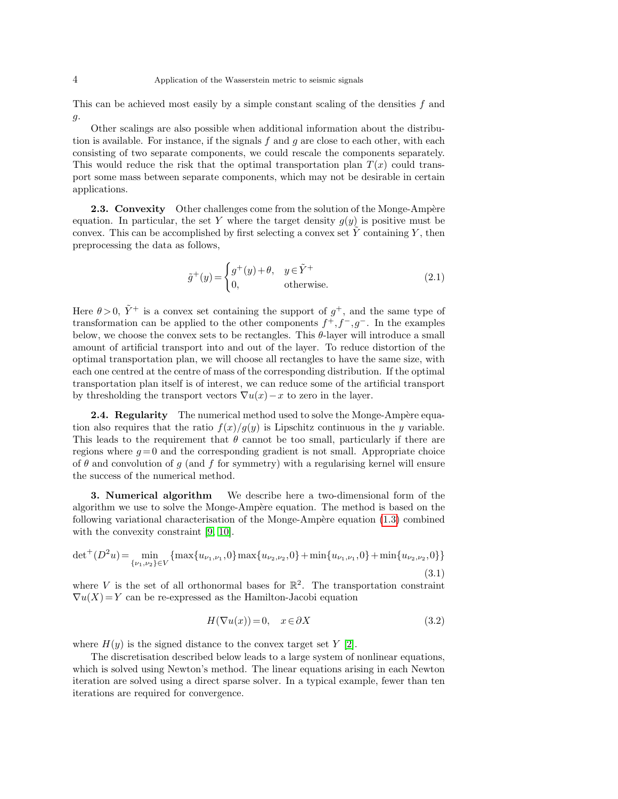This can be achieved most easily by a simple constant scaling of the densities f and  $g$ .

Other scalings are also possible when additional information about the distribution is available. For instance, if the signals  $f$  and  $g$  are close to each other, with each consisting of two separate components, we could rescale the components separately. This would reduce the risk that the optimal transportation plan  $T(x)$  could transport some mass between separate components, which may not be desirable in certain applications.

2.3. Convexity Other challenges come from the solution of the Monge-Ampère equation. In particular, the set Y where the target density  $q(y)$  is positive must be convex. This can be accomplished by first selecting a convex set  $\tilde{Y}$  containing Y, then preprocessing the data as follows,

$$
\tilde{g}^+(y) = \begin{cases} g^+(y) + \theta, & y \in \tilde{Y}^+ \\ 0, & \text{otherwise.} \end{cases}
$$
\n(2.1)

Here  $\theta > 0$ ,  $\tilde{Y}^+$  is a convex set containing the support of  $g^+$ , and the same type of transformation can be applied to the other components  $f^+, f^-, g^-$ . In the examples below, we choose the convex sets to be rectangles. This θ-layer will introduce a small amount of artificial transport into and out of the layer. To reduce distortion of the optimal transportation plan, we will choose all rectangles to have the same size, with each one centred at the centre of mass of the corresponding distribution. If the optimal transportation plan itself is of interest, we can reduce some of the artificial transport by thresholding the transport vectors  $\nabla u(x)-x$  to zero in the layer.

**2.4. Regularity** The numerical method used to solve the Monge-Ampère equation also requires that the ratio  $f(x)/g(y)$  is Lipschitz continuous in the y variable. This leads to the requirement that  $\theta$  cannot be too small, particularly if there are regions where  $q = 0$  and the corresponding gradient is not small. Appropriate choice of  $\theta$  and convolution of g (and f for symmetry) with a regularising kernel will ensure the success of the numerical method.

3. Numerical algorithm We describe here a two-dimensional form of the algorithm we use to solve the Monge-Ampère equation. The method is based on the following variational characterisation of the Monge-Ampère equation  $(1.3)$  combined with the convexity constraint [\[9,](#page-9-15) [10\]](#page-9-16).

$$
\det^{+}(D^{2}u) = \min_{\{\nu_{1},\nu_{2}\}\in V} \{ \max\{u_{\nu_{1},\nu_{1}},0\} \max\{u_{\nu_{2},\nu_{2}},0\} + \min\{u_{\nu_{1},\nu_{1}},0\} + \min\{u_{\nu_{2},\nu_{2}},0\} \}
$$
\n(3.1)

where V is the set of all orthonormal bases for  $\mathbb{R}^2$ . The transportation constraint  $\nabla u(X) = Y$  can be re-expressed as the Hamilton-Jacobi equation

<span id="page-3-0"></span>
$$
H(\nabla u(x)) = 0, \quad x \in \partial X \tag{3.2}
$$

where  $H(y)$  is the signed distance to the convex target set Y [\[2\]](#page-9-9).

The discretisation described below leads to a large system of nonlinear equations, which is solved using Newton's method. The linear equations arising in each Newton iteration are solved using a direct sparse solver. In a typical example, fewer than ten iterations are required for convergence.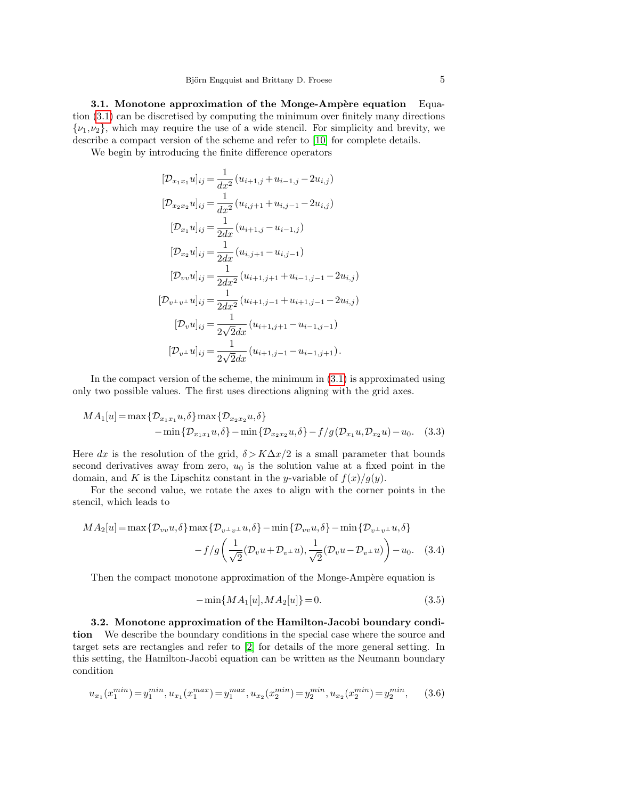3.1. Monotone approximation of the Monge-Ampère equation  $E_{\text{quad}}$ tion [\(3.1\)](#page-3-0) can be discretised by computing the minimum over finitely many directions  $\{\nu_1,\nu_2\}$ , which may require the use of a wide stencil. For simplicity and brevity, we describe a compact version of the scheme and refer to [\[10\]](#page-9-16) for complete details.

We begin by introducing the finite difference operators

$$
[\mathcal{D}_{x_1x_1} u]_{ij} = \frac{1}{dx^2} (u_{i+1,j} + u_{i-1,j} - 2u_{i,j})
$$
  
\n
$$
[\mathcal{D}_{x_2x_2} u]_{ij} = \frac{1}{dx^2} (u_{i,j+1} + u_{i,j-1} - 2u_{i,j})
$$
  
\n
$$
[\mathcal{D}_{x_1} u]_{ij} = \frac{1}{2dx} (u_{i+1,j} - u_{i-1,j})
$$
  
\n
$$
[\mathcal{D}_{x_2} u]_{ij} = \frac{1}{2dx} (u_{i,j+1} - u_{i,j-1})
$$
  
\n
$$
[\mathcal{D}_{vv} u]_{ij} = \frac{1}{2dx^2} (u_{i+1,j+1} + u_{i-1,j-1} - 2u_{i,j})
$$
  
\n
$$
[\mathcal{D}_{v+v} u]_{ij} = \frac{1}{2dx^2} (u_{i+1,j-1} + u_{i+1,j-1} - 2u_{i,j})
$$
  
\n
$$
[\mathcal{D}_{v} u]_{ij} = \frac{1}{2\sqrt{2}dx} (u_{i+1,j+1} - u_{i-1,j-1})
$$
  
\n
$$
[\mathcal{D}_{v+} u]_{ij} = \frac{1}{2\sqrt{2}dx} (u_{i+1,j-1} - u_{i-1,j+1}).
$$

In the compact version of the scheme, the minimum in [\(3.1\)](#page-3-0) is approximated using only two possible values. The first uses directions aligning with the grid axes.

$$
MA_1[u] = \max \{ \mathcal{D}_{x_1x_1}u, \delta \} \max \{ \mathcal{D}_{x_2x_2}u, \delta \}
$$
  
- min{ $\mathcal{D}_{x_1x_1}u, \delta$ } - min{ $\mathcal{D}_{x_2x_2}u, \delta$ } -  $f/g(\mathcal{D}_{x_1}u, \mathcal{D}_{x_2}u) - u_0.$  (3.3)

Here dx is the resolution of the grid,  $\delta > K\Delta x/2$  is a small parameter that bounds second derivatives away from zero,  $u_0$  is the solution value at a fixed point in the domain, and K is the Lipschitz constant in the y-variable of  $f(x)/g(y)$ .

For the second value, we rotate the axes to align with the corner points in the stencil, which leads to

$$
MA_2[u] = \max\{\mathcal{D}_{vv}u, \delta\} \max\{\mathcal{D}_{v\perp v\perp}u, \delta\} - \min\{\mathcal{D}_{vv}u, \delta\} - \min\{\mathcal{D}_{v\perp v\perp}u, \delta\}
$$

$$
-f/g\left(\frac{1}{\sqrt{2}}(\mathcal{D}_v u + \mathcal{D}_{v\perp}u), \frac{1}{\sqrt{2}}(\mathcal{D}_v u - \mathcal{D}_{v\perp}u)\right) - u_0. \quad (3.4)
$$

Then the compact monotone approximation of the Monge-Ampère equation is

$$
-\min\{MA_1[u], MA_2[u]\} = 0.\tag{3.5}
$$

3.2. Monotone approximation of the Hamilton-Jacobi boundary condition We describe the boundary conditions in the special case where the source and target sets are rectangles and refer to [\[2\]](#page-9-9) for details of the more general setting. In this setting, the Hamilton-Jacobi equation can be written as the Neumann boundary condition

$$
u_{x_1}(x_1^{min}) = y_1^{min}, u_{x_1}(x_1^{max}) = y_1^{max}, u_{x_2}(x_2^{min}) = y_2^{min}, u_{x_2}(x_2^{min}) = y_2^{min}, \qquad (3.6)
$$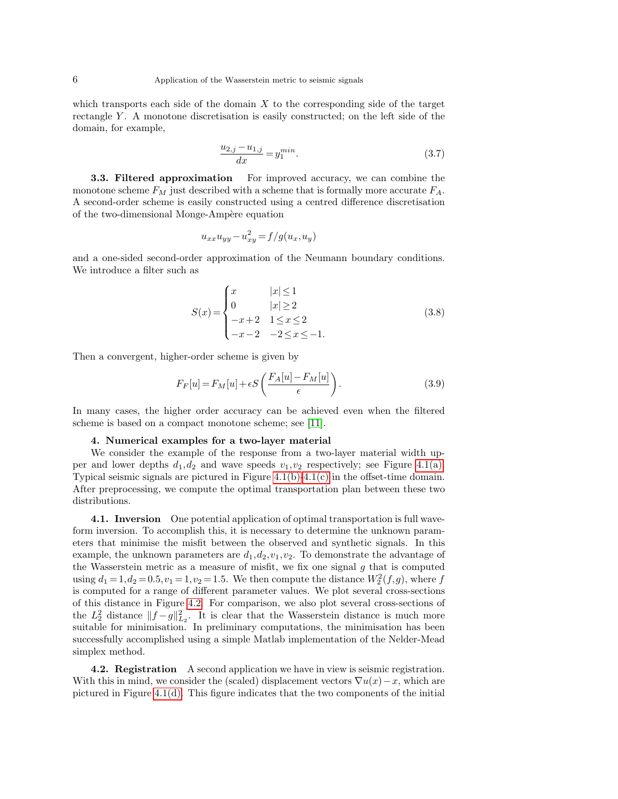which transports each side of the domain  $X$  to the corresponding side of the target rectangle Y. A monotone discretisation is easily constructed; on the left side of the domain, for example,

$$
\frac{u_{2,j} - u_{1,j}}{dx} = y_1^{min}.\tag{3.7}
$$

**3.3. Filtered approximation** For improved accuracy, we can combine the monotone scheme  $F_M$  just described with a scheme that is formally more accurate  $F_A$ . A second-order scheme is easily constructed using a centred difference discretisation of the two-dimensional Monge-Ampère equation

$$
u_{xx}u_{yy} - u_{xy}^2 = f/g(u_x, u_y)
$$

and a one-sided second-order approximation of the Neumann boundary conditions. We introduce a filter such as

$$
S(x) = \begin{cases} x & |x| \le 1 \\ 0 & |x| \ge 2 \\ -x + 2 & 1 \le x \le 2 \\ -x - 2 & -2 \le x \le -1. \end{cases} \tag{3.8}
$$

Then a convergent, higher-order scheme is given by

$$
F_F[u] = F_M[u] + \epsilon S\left(\frac{F_A[u] - F_M[u]}{\epsilon}\right). \tag{3.9}
$$

In many cases, the higher order accuracy can be achieved even when the filtered scheme is based on a compact monotone scheme; see [\[11\]](#page-9-17).

## 4. Numerical examples for a two-layer material

We consider the example of the response from a two-layer material width upper and lower depths  $d_1, d_2$  and wave speeds  $v_1, v_2$  respectively; see Figure [4.1\(a\).](#page-6-0) Typical seismic signals are pictured in Figure  $4.1(b)-4.1(c)$  $4.1(b)-4.1(c)$  in the offset-time domain. After preprocessing, we compute the optimal transportation plan between these two distributions.

4.1. Inversion One potential application of optimal transportation is full waveform inversion. To accomplish this, it is necessary to determine the unknown parameters that minimise the misfit between the observed and synthetic signals. In this example, the unknown parameters are  $d_1, d_2, v_1, v_2$ . To demonstrate the advantage of the Wasserstein metric as a measure of misfit, we fix one signal  $g$  that is computed using  $d_1 = 1, d_2 = 0.5, v_1 = 1, v_2 = 1.5$ . We then compute the distance  $W_2^2(f, g)$ , where f is computed for a range of different parameter values. We plot several cross-sections of this distance in Figure [4.2.](#page-7-0) For comparison, we also plot several cross-sections of the  $L_2^2$  distance  $||f-g||_{L_2}^2$ . It is clear that the Wasserstein distance is much more suitable for minimisation. In preliminary computations, the minimisation has been successfully accomplished using a simple Matlab implementation of the Nelder-Mead simplex method.

4.2. Registration A second application we have in view is seismic registration. With this in mind, we consider the (scaled) displacement vectors  $\nabla u(x)-x$ , which are pictured in Figure  $4.1(d)$ . This figure indicates that the two components of the initial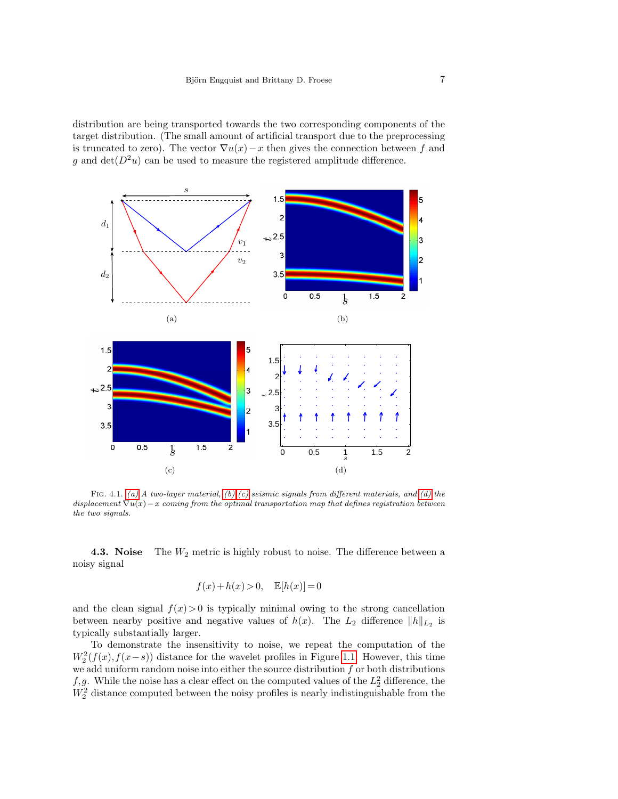distribution are being transported towards the two corresponding components of the target distribution. (The small amount of artificial transport due to the preprocessing is truncated to zero). The vector  $\nabla u(x)-x$  then gives the connection between f and g and  $\det(D^2u)$  can be used to measure the registered amplitude difference.

<span id="page-6-1"></span><span id="page-6-0"></span>

<span id="page-6-2"></span>FIG. 4.1. [\(a\)](#page-6-0) A two-layer material,  $(b)$ ,  $(c)$  seismic signals from different materials, and [\(d\)](#page-6-3) the displacement  $\nabla u(x)-x$  coming from the optimal transportation map that defines registration between the two signals.

**4.3. Noise** The  $W_2$  metric is highly robust to noise. The difference between a noisy signal

<span id="page-6-3"></span>
$$
f(x) + h(x) > 0, \quad \mathbb{E}[h(x)] = 0
$$

and the clean signal  $f(x) > 0$  is typically minimal owing to the strong cancellation between nearby positive and negative values of  $h(x)$ . The  $L_2$  difference  $||h||_{L_2}$  is typically substantially larger.

To demonstrate the insensitivity to noise, we repeat the computation of the  $W_2^2(f(x),f(x-s))$  distance for the wavelet profiles in Figure [1.1.](#page-2-3) However, this time we add uniform random noise into either the source distribution  $f$  or both distributions f, g. While the noise has a clear effect on the computed values of the  $L<sub>2</sub><sup>2</sup>$  difference, the  $W_2^2$  distance computed between the noisy profiles is nearly indistinguishable from the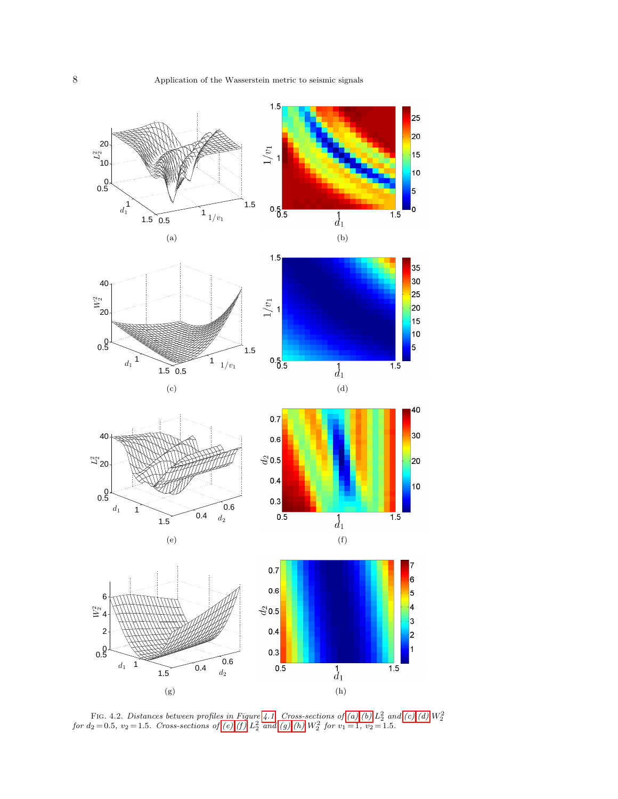<span id="page-7-4"></span><span id="page-7-3"></span><span id="page-7-2"></span><span id="page-7-1"></span>

<span id="page-7-8"></span><span id="page-7-7"></span><span id="page-7-6"></span><span id="page-7-5"></span><span id="page-7-0"></span>FIG. 4.2. Distances between profiles in Figure [4.1.](#page-2-3) Cross-sections of  $(a)$ , $(b)$   $L_2^2$  and  $(c)$ , $(d)$   $W_2^2$  for  $d_2 = 0.5$ ,  $v_2 = 1.5$ . Cross-sections of  $(e)$ , $(f)$   $L_2^2$  and  $(g)$ , $(h)$   $W_2^2$  for  $v_1 = 1$ ,  $v_2 = 1.5$ .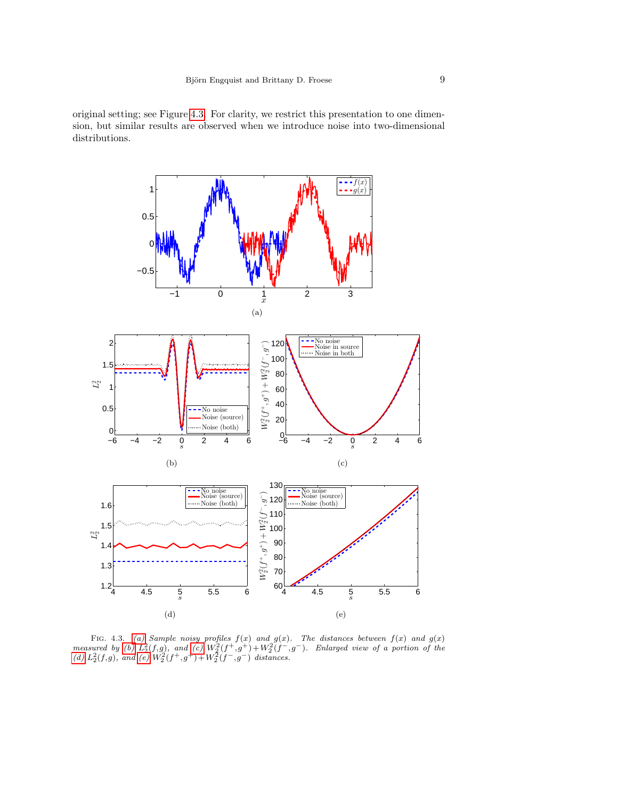original setting; see Figure [4.3.](#page-8-0) For clarity, we restrict this presentation to one dimension, but similar results are observed when we introduce noise into two-dimensional distributions.

<span id="page-8-2"></span><span id="page-8-1"></span>

<span id="page-8-5"></span><span id="page-8-4"></span><span id="page-8-3"></span><span id="page-8-0"></span>FIG. 4.3. [\(a\)](#page-8-1) Sample noisy profiles  $f(x)$  and  $g(x)$ . The distances between  $f(x)$  and  $g(x)$ measured by [\(b\)](#page-8-2)  $L_2^2(f,g)$ , and [\(c\)](#page-8-3)  $W_2^2(f^+,g^+)+W_2^2(f^-,g^-)$ . Enlarged view of a portion of the [\(d\)](#page-8-4)  $L_2^2(f,g)$ , and [\(e\)](#page-8-5)  $W_2^2(f^+,g^+) + W_2^2(f^-,g^-)$  distances.